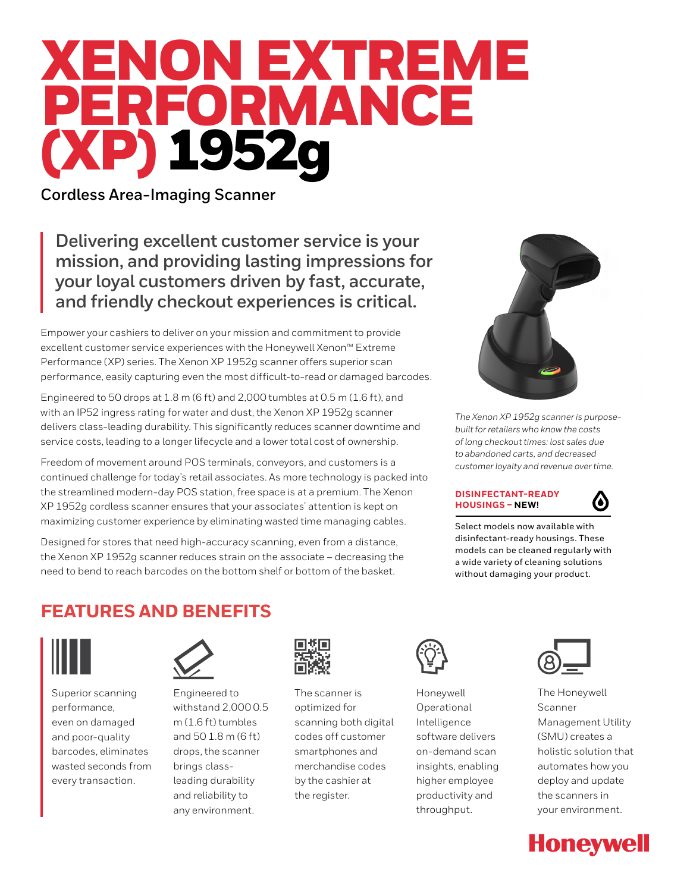# XENON EXTREME PERFORMANCE (XP) 1952g

**Cordless Area-Imaging Scanner**

**Delivering excellent customer service is your mission, and providing lasting impressions for your loyal customers driven by fast, accurate, and friendly checkout experiences is critical.**

Empower your cashiers to deliver on your mission and commitment to provide excellent customer service experiences with the Honeywell Xenon™ Extreme Performance (XP) series. The Xenon XP 1952g scanner offers superior scan performance, easily capturing even the most difficult-to-read or damaged barcodes.

Engineered to 50 drops at 1.8 m (6 ft) and 2,000 tumbles at 0.5 m (1.6 ft), and with an IP52 ingress rating for water and dust, the Xenon XP 1952g scanner delivers class-leading durability. This significantly reduces scanner downtime and service costs, leading to a longer lifecycle and a lower total cost of ownership.

Freedom of movement around POS terminals, conveyors, and customers is a continued challenge for today's retail associates. As more technology is packed into the streamlined modern-day POS station, free space is at a premium. The Xenon XP 1952g cordless scanner ensures that your associates' attention is kept on maximizing customer experience by eliminating wasted time managing cables.

Designed for stores that need high-accuracy scanning, even from a distance, the Xenon XP 1952g scanner reduces strain on the associate – decreasing the need to bend to reach barcodes on the bottom shelf or bottom of the basket.



*The Xenon XP 1952g scanner is purposebuilt for retailers who know the costs of long checkout times: lost sales due to abandoned carts, and decreased customer loyalty and revenue over time.*

## **DISINFECTANT-READY HOUSINGS – NEW!**



Select models now available with disinfectant-ready housings. These models can be cleaned regularly with a wide variety of cleaning solutions without damaging your product.

## **FEATURES AND BENEFITS**



Superior scanning performance, even on damaged and poor-quality barcodes, eliminates wasted seconds from every transaction.



Engineered to withstand 2,000 0.5 m (1.6 ft) tumbles and 50 1.8 m (6 ft) drops, the scanner brings classleading durability and reliability to any environment.



The scanner is optimized for scanning both digital codes off customer smartphones and merchandise codes by the cashier at the register.



Honeywell Operational Intelligence software delivers on-demand scan insights, enabling higher employee productivity and throughput.



The Honeywell Scanner Management Utility (SMU) creates a holistic solution that automates how you deploy and update the scanners in your environment.